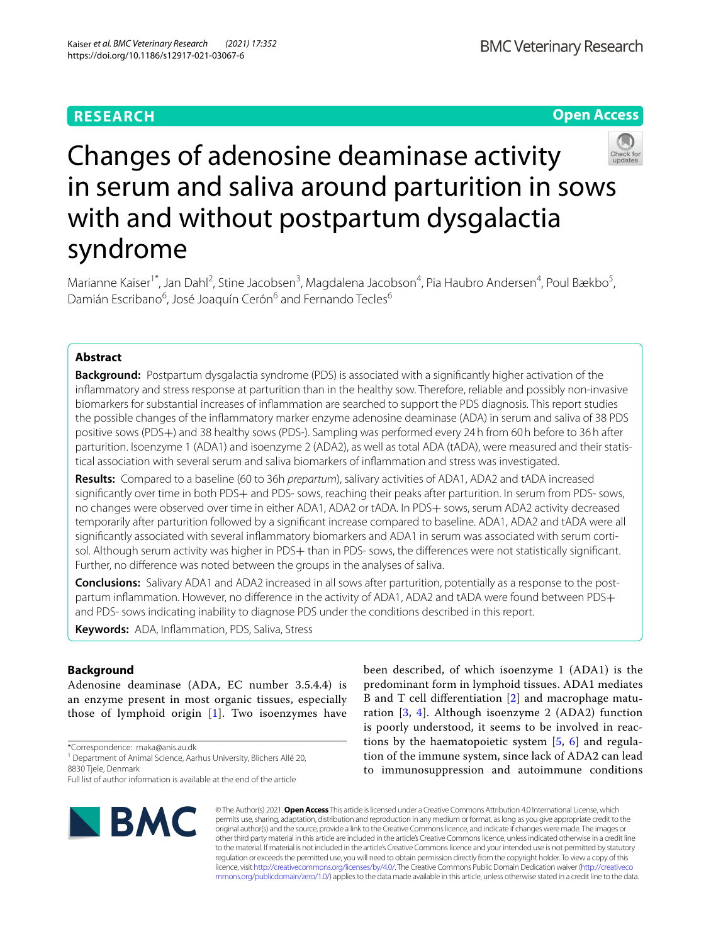# **RESEARCH**

**Open Access**

# Changes of adenosine deaminase activity in serum and saliva around parturition in sows with and without postpartum dysgalactia syndrome

Marianne Kaiser<sup>1\*</sup>, Jan Dahl<sup>2</sup>, Stine Jacobsen<sup>3</sup>, Magdalena Jacobson<sup>4</sup>, Pia Haubro Andersen<sup>4</sup>, Poul Bækbo<sup>5</sup>, Damián Escribano<sup>6</sup>, José Joaquín Cerón<sup>6</sup> and Fernando Tecles<sup>6</sup>

# **Abstract**

**Background:** Postpartum dysgalactia syndrome (PDS) is associated with a signifcantly higher activation of the infammatory and stress response at parturition than in the healthy sow. Therefore, reliable and possibly non-invasive biomarkers for substantial increases of infammation are searched to support the PDS diagnosis. This report studies the possible changes of the infammatory marker enzyme adenosine deaminase (ADA) in serum and saliva of 38 PDS positive sows (PDS+) and 38 healthy sows (PDS-). Sampling was performed every 24h from 60h before to 36h after parturition. Isoenzyme 1 (ADA1) and isoenzyme 2 (ADA2), as well as total ADA (tADA), were measured and their statistical association with several serum and saliva biomarkers of infammation and stress was investigated.

**Results:** Compared to a baseline (60 to 36h *prepartum*), salivary activities of ADA1, ADA2 and tADA increased signifcantly over time in both PDS+ and PDS- sows, reaching their peaks after parturition. In serum from PDS- sows, no changes were observed over time in either ADA1, ADA2 or tADA. In PDS+ sows, serum ADA2 activity decreased temporarily after parturition followed by a signifcant increase compared to baseline. ADA1, ADA2 and tADA were all signifcantly associated with several infammatory biomarkers and ADA1 in serum was associated with serum cortisol. Although serum activity was higher in PDS+ than in PDS- sows, the differences were not statistically significant. Further, no diference was noted between the groups in the analyses of saliva.

**Conclusions:** Salivary ADA1 and ADA2 increased in all sows after parturition, potentially as a response to the postpartum inflammation. However, no difference in the activity of ADA1, ADA2 and tADA were found between PDS+ and PDS- sows indicating inability to diagnose PDS under the conditions described in this report.

**Keywords:** ADA, Infammation, PDS, Saliva, Stress

# **Background**

Adenosine deaminase (ADA, EC number 3.5.4.4) is an enzyme present in most organic tissues, especially those of lymphoid origin [[1\]](#page-6-0). Two isoenzymes have

\*Correspondence: maka@anis.au.dk

<sup>1</sup> Department of Animal Science, Aarhus University, Blichers Allé 20, 8830 Tjele, Denmark

Full list of author information is available at the end of the article



been described, of which isoenzyme 1 (ADA1) is the predominant form in lymphoid tissues. ADA1 mediates B and T cell diferentiation [[2\]](#page-6-1) and macrophage maturation [[3,](#page-6-2) [4](#page-6-3)]. Although isoenzyme 2 (ADA2) function is poorly understood, it seems to be involved in reactions by the haematopoietic system [[5,](#page-6-4) [6](#page-6-5)] and regulation of the immune system, since lack of ADA2 can lead to immunosuppression and autoimmune conditions

© The Author(s) 2021. **Open Access** This article is licensed under a Creative Commons Attribution 4.0 International License, which permits use, sharing, adaptation, distribution and reproduction in any medium or format, as long as you give appropriate credit to the original author(s) and the source, provide a link to the Creative Commons licence, and indicate if changes were made. The images or other third party material in this article are included in the article's Creative Commons licence, unless indicated otherwise in a credit line to the material. If material is not included in the article's Creative Commons licence and your intended use is not permitted by statutory regulation or exceeds the permitted use, you will need to obtain permission directly from the copyright holder. To view a copy of this licence, visit [http://creativecommons.org/licenses/by/4.0/.](http://creativecommons.org/licenses/by/4.0/) The Creative Commons Public Domain Dedication waiver ([http://creativeco](http://creativecommons.org/publicdomain/zero/1.0/) [mmons.org/publicdomain/zero/1.0/](http://creativecommons.org/publicdomain/zero/1.0/)) applies to the data made available in this article, unless otherwise stated in a credit line to the data.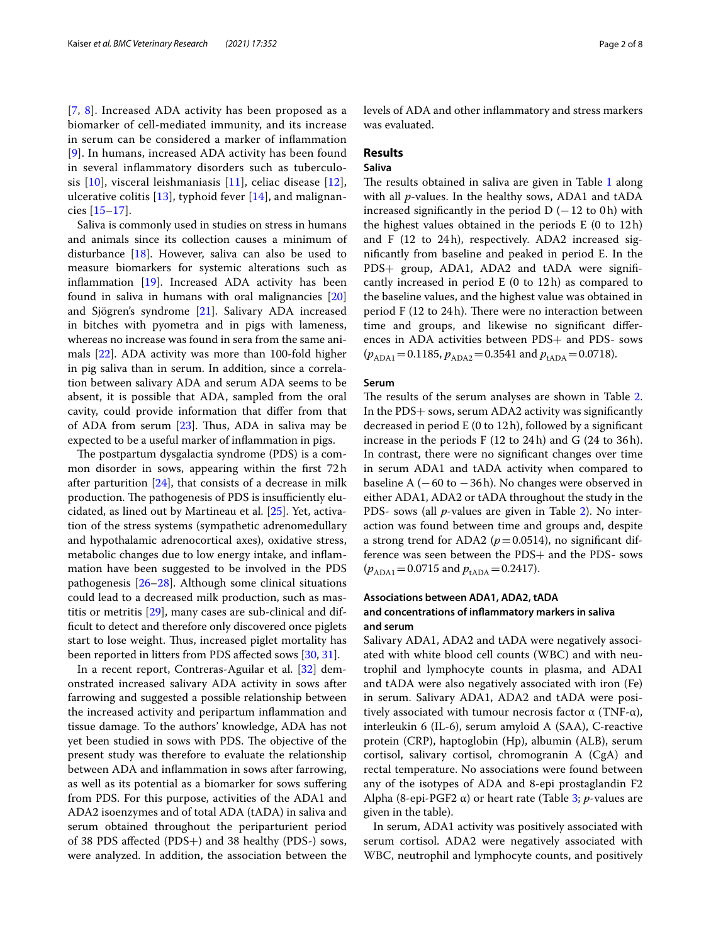[[7](#page-6-6), [8](#page-6-7)]. Increased ADA activity has been proposed as a biomarker of cell-mediated immunity, and its increase in serum can be considered a marker of infammation [[9](#page-6-8)]. In humans, increased ADA activity has been found in several infammatory disorders such as tuberculosis [[10](#page-6-9)], visceral leishmaniasis [[11\]](#page-6-10), celiac disease [[12\]](#page-6-11), ulcerative colitis  $[13]$ , typhoid fever  $[14]$ , and malignancies [\[15–](#page-6-14)[17\]](#page-6-15).

Saliva is commonly used in studies on stress in humans and animals since its collection causes a minimum of disturbance [[18\]](#page-6-16). However, saliva can also be used to measure biomarkers for systemic alterations such as infammation [\[19](#page-6-17)]. Increased ADA activity has been found in saliva in humans with oral malignancies [[20](#page-6-18)] and Sjögren's syndrome [\[21](#page-7-0)]. Salivary ADA increased in bitches with pyometra and in pigs with lameness, whereas no increase was found in sera from the same animals [[22](#page-7-1)]. ADA activity was more than 100-fold higher in pig saliva than in serum. In addition, since a correlation between salivary ADA and serum ADA seems to be absent, it is possible that ADA, sampled from the oral cavity, could provide information that difer from that of ADA from serum  $[23]$  $[23]$  $[23]$ . Thus, ADA in saliva may be expected to be a useful marker of infammation in pigs.

The postpartum dysgalactia syndrome (PDS) is a common disorder in sows, appearing within the frst 72h after parturition  $[24]$  $[24]$ , that consists of a decrease in milk production. The pathogenesis of PDS is insufficiently elucidated, as lined out by Martineau et al. [[25\]](#page-7-4). Yet, activation of the stress systems (sympathetic adrenomedullary and hypothalamic adrenocortical axes), oxidative stress, metabolic changes due to low energy intake, and infammation have been suggested to be involved in the PDS pathogenesis [\[26](#page-7-5)[–28\]](#page-7-6). Although some clinical situations could lead to a decreased milk production, such as mastitis or metritis [\[29\]](#page-7-7), many cases are sub-clinical and diffcult to detect and therefore only discovered once piglets start to lose weight. Thus, increased piglet mortality has been reported in litters from PDS afected sows [\[30](#page-7-8), [31\]](#page-7-9).

In a recent report, Contreras-Aguilar et al. [\[32](#page-7-10)] demonstrated increased salivary ADA activity in sows after farrowing and suggested a possible relationship between the increased activity and peripartum infammation and tissue damage. To the authors' knowledge, ADA has not yet been studied in sows with PDS. The objective of the present study was therefore to evaluate the relationship between ADA and infammation in sows after farrowing, as well as its potential as a biomarker for sows sufering from PDS. For this purpose, activities of the ADA1 and ADA2 isoenzymes and of total ADA (tADA) in saliva and serum obtained throughout the periparturient period of 38 PDS afected (PDS+) and 38 healthy (PDS-) sows, were analyzed. In addition, the association between the levels of ADA and other infammatory and stress markers was evaluated.

# **Results**

# **Saliva**

The results obtained in saliva are given in Table [1](#page-2-0) along with all *p*-values. In the healthy sows, ADA1 and tADA increased significantly in the period  $D$  (−12 to 0h) with the highest values obtained in the periods E (0 to 12h) and F (12 to 24h), respectively. ADA2 increased signifcantly from baseline and peaked in period E. In the PDS+ group, ADA1, ADA2 and tADA were signifcantly increased in period E (0 to 12h) as compared to the baseline values, and the highest value was obtained in period F (12 to 24h). There were no interaction between time and groups, and likewise no signifcant diferences in ADA activities between PDS+ and PDS- sows  $(p_{ADA1}=0.1185, p_{ADA2}=0.3541$  and  $p_{tADA}=0.0718$ ).

#### **Serum**

The results of the serum analyses are shown in Table [2](#page-3-0). In the PDS+ sows, serum ADA2 activity was signifcantly decreased in period E (0 to 12h), followed by a signifcant increase in the periods F (12 to 24h) and G (24 to 36h). In contrast, there were no signifcant changes over time in serum ADA1 and tADA activity when compared to baseline A  $(-60 \text{ to } -36 \text{ h})$ . No changes were observed in either ADA1, ADA2 or tADA throughout the study in the PDS- sows (all *p*-values are given in Table [2\)](#page-3-0). No interaction was found between time and groups and, despite a strong trend for ADA2 ( $p = 0.0514$ ), no significant difference was seen between the PDS+ and the PDS- sows  $(p_{ADA1}=0.0715$  and  $p_{tADA}=0.2417$ ).

# **Associations between ADA1, ADA2, tADA and concentrations of infammatory markers in saliva and serum**

Salivary ADA1, ADA2 and tADA were negatively associated with white blood cell counts (WBC) and with neutrophil and lymphocyte counts in plasma, and ADA1 and tADA were also negatively associated with iron (Fe) in serum. Salivary ADA1, ADA2 and tADA were positively associated with tumour necrosis factor  $\alpha$  (TNF- $\alpha$ ), interleukin 6 (IL-6), serum amyloid A (SAA), C-reactive protein (CRP), haptoglobin (Hp), albumin (ALB), serum cortisol, salivary cortisol, chromogranin A (CgA) and rectal temperature. No associations were found between any of the isotypes of ADA and 8-epi prostaglandin F2 Alpha (8-epi-PGF2 α) or heart rate (Table [3](#page-4-0); *p*-values are given in the table).

In serum, ADA1 activity was positively associated with serum cortisol. ADA2 were negatively associated with WBC, neutrophil and lymphocyte counts, and positively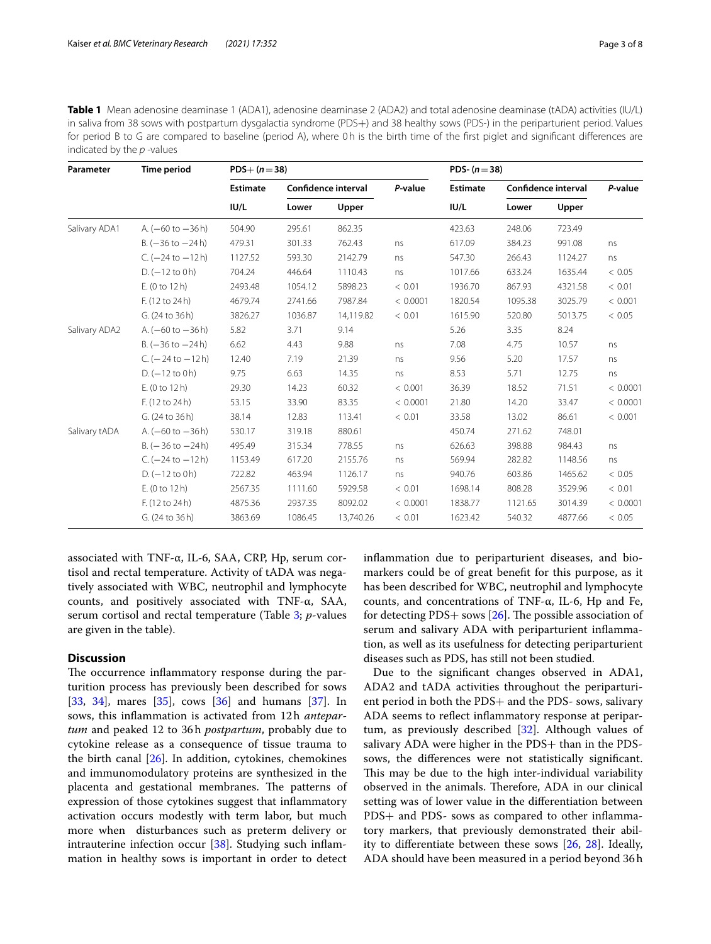<span id="page-2-0"></span>**Table 1** Mean adenosine deaminase 1 (ADA1), adenosine deaminase 2 (ADA2) and total adenosine deaminase (tADA) activities (IU/L) in saliva from 38 sows with postpartum dysgalactia syndrome (PDS+) and 38 healthy sows (PDS-) in the periparturient period. Values for period B to G are compared to baseline (period A), where 0h is the birth time of the frst piglet and signifcant diferences are indicated by the *p* -values

| Parameter     | <b>Time period</b>                   | $PDS+ (n=38)$           |         |                     |          | PDS- $(n=38)$   |         |                     |          |
|---------------|--------------------------------------|-------------------------|---------|---------------------|----------|-----------------|---------|---------------------|----------|
|               |                                      | <b>Estimate</b><br>IU/L |         | Confidence interval | P-value  | <b>Estimate</b> |         | Confidence interval | P-value  |
|               |                                      |                         | Lower   | Upper               |          | IUI/L           | Lower   | Upper               |          |
| Salivary ADA1 | A. $(-60 \text{ to } -36 \text{ h})$ | 504.90                  | 295.61  | 862.35              |          | 423.63          | 248.06  | 723.49              |          |
|               | $B. (-36 to -24 h)$                  | 479.31                  | 301.33  | 762.43              | ns       | 617.09          | 384.23  | 991.08              | ns       |
|               | $C. (-24 to -12 h)$                  | 1127.52                 | 593.30  | 2142.79             | ns       | 547.30          | 266.43  | 1124.27             | ns       |
|               | $D. (-12 to 0 h)$                    | 704.24                  | 446.64  | 1110.43             | ns       | 1017.66         | 633.24  | 1635.44             | < 0.05   |
|               | E. (0 to 12 h)                       | 2493.48                 | 1054.12 | 5898.23             | < 0.01   | 1936.70         | 867.93  | 4321.58             | < 0.01   |
|               | F. (12 to 24 h)                      | 4679.74                 | 2741.66 | 7987.84             | < 0.0001 | 1820.54         | 1095.38 | 3025.79             | < 0.001  |
|               | G. (24 to 36 h)                      | 3826.27                 | 1036.87 | 14,119.82           | < 0.01   | 1615.90         | 520.80  | 5013.75             | < 0.05   |
| Salivary ADA2 | A. $(-60 \text{ to } -36 \text{ h})$ | 5.82                    | 3.71    | 9.14                |          | 5.26            | 3.35    | 8.24                |          |
|               | $B. (-36 to -24 h)$                  | 6.62                    | 4.43    | 9.88                | ns       | 7.08            | 4.75    | 10.57               | ns       |
|               | C. $(-24 \text{ to } -12 \text{ h})$ | 12.40                   | 7.19    | 21.39               | ns       | 9.56            | 5.20    | 17.57               | ns       |
|               | $D. (-12 to 0 h)$                    | 9.75                    | 6.63    | 14.35               | ns       | 8.53            | 5.71    | 12.75               | ns       |
|               | E. (0 to 12 h)                       | 29.30                   | 14.23   | 60.32               | < 0.001  | 36.39           | 18.52   | 71.51               | < 0.0001 |
|               | F. (12 to 24 h)                      | 53.15                   | 33.90   | 83.35               | < 0.0001 | 21.80           | 14.20   | 33.47               | < 0.0001 |
|               | G. (24 to 36 h)                      | 38.14                   | 12.83   | 113.41              | < 0.01   | 33.58           | 13.02   | 86.61               | < 0.001  |
| Salivary tADA | A. $(-60 \text{ to } -36 \text{ h})$ | 530.17                  | 319.18  | 880.61              |          | 450.74          | 271.62  | 748.01              |          |
|               | $B = (-36 to -24 h)$                 | 495.49                  | 315.34  | 778.55              | ns       | 626.63          | 398.88  | 984.43              | ns       |
|               | C. $(-24 \text{ to } -12 \text{ h})$ | 1153.49                 | 617.20  | 2155.76             | ns       | 569.94          | 282.82  | 1148.56             | ns       |
|               | $D. (-12 to 0 h)$                    | 722.82                  | 463.94  | 1126.17             | ns       | 940.76          | 603.86  | 1465.62             | < 0.05   |
|               | E. (0 to 12 h)                       | 2567.35                 | 1111.60 | 5929.58             | < 0.01   | 1698.14         | 808.28  | 3529.96             | < 0.01   |
|               | F. (12 to 24 h)                      | 4875.36                 | 2937.35 | 8092.02             | < 0.0001 | 1838.77         | 1121.65 | 3014.39             | < 0.0001 |
|               | G. (24 to 36 h)                      | 3863.69                 | 1086.45 | 13,740.26           | < 0.01   | 1623.42         | 540.32  | 4877.66             | < 0.05   |

associated with TNF-α, IL-6, SAA, CRP, Hp, serum cortisol and rectal temperature. Activity of tADA was negatively associated with WBC, neutrophil and lymphocyte counts, and positively associated with TNF-α, SAA, serum cortisol and rectal temperature (Table [3](#page-4-0); *p*-values are given in the table).

# **Discussion**

The occurrence inflammatory response during the parturition process has previously been described for sows [[33,](#page-7-11) [34](#page-7-12)], mares [\[35](#page-7-13)], cows [[36\]](#page-7-14) and humans [\[37\]](#page-7-15). In sows, this infammation is activated from 12h *antepartum* and peaked 12 to 36h *postpartum*, probably due to cytokine release as a consequence of tissue trauma to the birth canal [\[26](#page-7-5)]. In addition, cytokines, chemokines and immunomodulatory proteins are synthesized in the placenta and gestational membranes. The patterns of expression of those cytokines suggest that infammatory activation occurs modestly with term labor, but much more when disturbances such as preterm delivery or intrauterine infection occur [\[38](#page-7-16)]. Studying such inflammation in healthy sows is important in order to detect infammation due to periparturient diseases, and biomarkers could be of great beneft for this purpose, as it has been described for WBC, neutrophil and lymphocyte counts, and concentrations of TNF-α, IL-6, Hp and Fe, for detecting PDS+ sows  $[26]$  $[26]$ . The possible association of serum and salivary ADA with periparturient infammation, as well as its usefulness for detecting periparturient diseases such as PDS, has still not been studied.

Due to the signifcant changes observed in ADA1, ADA2 and tADA activities throughout the periparturient period in both the PDS+ and the PDS- sows, salivary ADA seems to reflect inflammatory response at peripartum, as previously described [[32](#page-7-10)]. Although values of salivary ADA were higher in the PDS+ than in the PDSsows, the diferences were not statistically signifcant. This may be due to the high inter-individual variability observed in the animals. Therefore, ADA in our clinical setting was of lower value in the diferentiation between PDS+ and PDS- sows as compared to other inflammatory markers, that previously demonstrated their ability to diferentiate between these sows [[26,](#page-7-5) [28](#page-7-6)]. Ideally, ADA should have been measured in a period beyond 36h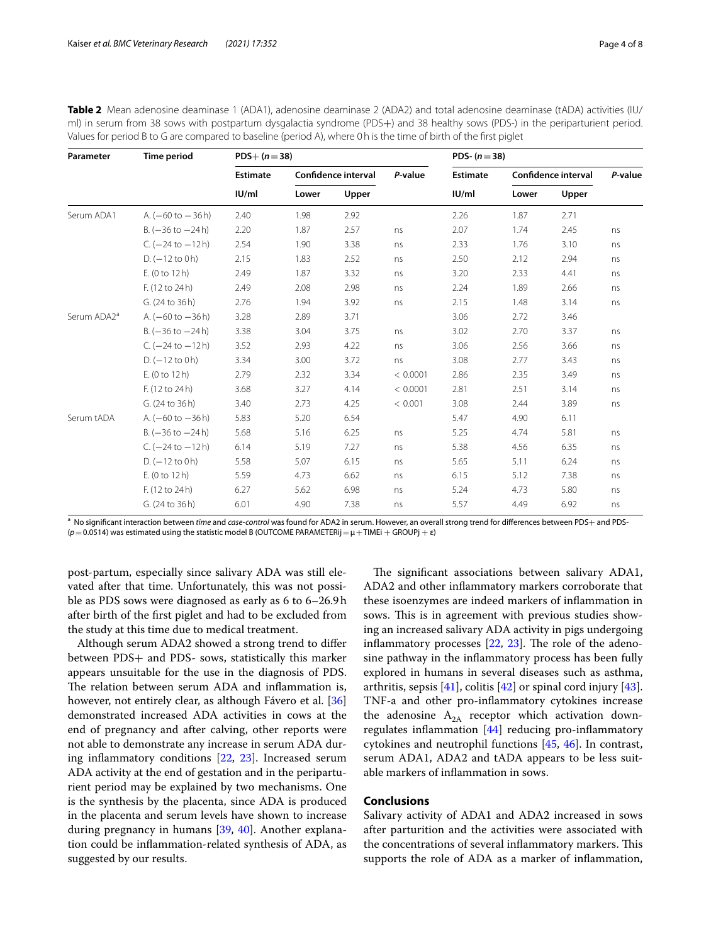| Parameter               | <b>Time period</b>                   | $PDS+ (n=38)$   |       |                     |          | PDS- $(n=38)$   |       |                     |         |
|-------------------------|--------------------------------------|-----------------|-------|---------------------|----------|-----------------|-------|---------------------|---------|
|                         |                                      | <b>Estimate</b> |       | Confidence interval | P-value  | <b>Estimate</b> |       | Confidence interval | P-value |
|                         |                                      | IU/ml           | Lower | Upper               |          | IU/ml           | Lower | Upper               |         |
| Serum ADA1              | A. $(-60 \text{ to } -36 \text{ h})$ | 2.40            | 1.98  | 2.92                |          | 2.26            | 1.87  | 2.71                |         |
|                         | $B. (-36 to -24 h)$                  | 2.20            | 1.87  | 2.57                | ns       | 2.07            | 1.74  | 2.45                | ns      |
|                         | $C. (-24 to -12 h)$                  | 2.54            | 1.90  | 3.38                | ns       | 2.33            | 1.76  | 3.10                | ns      |
|                         | $D. (-12 to 0 h)$                    | 2.15            | 1.83  | 2.52                | ns       | 2.50            | 2.12  | 2.94                | ns      |
|                         | E. (0 to 12 h)                       | 2.49            | 1.87  | 3.32                | ns       | 3.20            | 2.33  | 4.41                | ns      |
|                         | F. (12 to 24 h)                      | 2.49            | 2.08  | 2.98                | ns       | 2.24            | 1.89  | 2.66                | ns      |
|                         | G. (24 to 36 h)                      | 2.76            | 1.94  | 3.92                | ns       | 2.15            | 1.48  | 3.14                | ns      |
| Serum ADA2 <sup>a</sup> | A. $(-60 \text{ to } -36 \text{ h})$ | 3.28            | 2.89  | 3.71                |          | 3.06            | 2.72  | 3.46                |         |
|                         | $B. (-36 to -24 h)$                  | 3.38            | 3.04  | 3.75                | ns       | 3.02            | 2.70  | 3.37                | ns      |
|                         | $C. (-24 to -12 h)$                  | 3.52            | 2.93  | 4.22                | ns       | 3.06            | 2.56  | 3.66                | ns      |
|                         | $D. (-12 to 0 h)$                    | 3.34            | 3.00  | 3.72                | ns       | 3.08            | 2.77  | 3.43                | ns      |
|                         | E. (0 to 12 h)                       | 2.79            | 2.32  | 3.34                | < 0.0001 | 2.86            | 2.35  | 3.49                | ns      |
|                         | F. (12 to 24 h)                      | 3.68            | 3.27  | 4.14                | < 0.0001 | 2.81            | 2.51  | 3.14                | ns      |
|                         | G. (24 to 36 h)                      | 3.40            | 2.73  | 4.25                | < 0.001  | 3.08            | 2.44  | 3.89                | ns      |
| Serum tADA              | A. $(-60 \text{ to } -36 \text{ h})$ | 5.83            | 5.20  | 6.54                |          | 5.47            | 4.90  | 6.11                |         |
|                         | $B. (-36 to -24 h)$                  | 5.68            | 5.16  | 6.25                | ns       | 5.25            | 4.74  | 5.81                | ns      |
|                         | $C. (-24 to -12 h)$                  | 6.14            | 5.19  | 7.27                | ns       | 5.38            | 4.56  | 6.35                | ns      |
|                         | $D. (-12 to 0 h)$                    | 5.58            | 5.07  | 6.15                | ns       | 5.65            | 5.11  | 6.24                | ns      |
|                         | E(0 to 12 h)                         | 5.59            | 4.73  | 6.62                | ns       | 6.15            | 5.12  | 7.38                | ns      |
|                         | F. (12 to 24 h)                      | 6.27            | 5.62  | 6.98                | ns       | 5.24            | 4.73  | 5.80                | ns      |
|                         | G. (24 to 36 h)                      | 6.01            | 4.90  | 7.38                | ns       | 5.57            | 4.49  | 6.92                | ns      |

<span id="page-3-0"></span>

| <b>Table 2</b> Mean adenosine deaminase 1 (ADA1), adenosine deaminase 2 (ADA2) and total adenosine deaminase (tADA) activities (IU/ |
|-------------------------------------------------------------------------------------------------------------------------------------|
| ml) in serum from 38 sows with postpartum dysgalactia syndrome (PDS+) and 38 healthy sows (PDS-) in the periparturient period.      |
| Values for period B to G are compared to baseline (period A), where 0 h is the time of birth of the first piglet                    |

a No signifcant interaction between *time* and *case-control* was found for ADA2 in serum. However, an overall strong trend for diferences between PDS+ and PDS- (*p*=0.0514) was estimated using the statistic model B (OUTCOME PARAMETERij=μ+TIMEi + GROUPj + ε)

post-partum, especially since salivary ADA was still elevated after that time. Unfortunately, this was not possible as PDS sows were diagnosed as early as 6 to 6–26.9h after birth of the frst piglet and had to be excluded from the study at this time due to medical treatment.

Although serum ADA2 showed a strong trend to difer between PDS+ and PDS- sows, statistically this marker appears unsuitable for the use in the diagnosis of PDS. The relation between serum ADA and inflammation is, however, not entirely clear, as although Fávero et al. [[36](#page-7-14)] demonstrated increased ADA activities in cows at the end of pregnancy and after calving, other reports were not able to demonstrate any increase in serum ADA during infammatory conditions [[22](#page-7-1), [23\]](#page-7-2). Increased serum ADA activity at the end of gestation and in the periparturient period may be explained by two mechanisms. One is the synthesis by the placenta, since ADA is produced in the placenta and serum levels have shown to increase during pregnancy in humans [[39,](#page-7-17) [40](#page-7-18)]. Another explanation could be infammation-related synthesis of ADA, as suggested by our results.

The significant associations between salivary ADA1, ADA2 and other infammatory markers corroborate that these isoenzymes are indeed markers of infammation in sows. This is in agreement with previous studies showing an increased salivary ADA activity in pigs undergoing inflammatory processes  $[22, 23]$  $[22, 23]$  $[22, 23]$  $[22, 23]$  $[22, 23]$ . The role of the adenosine pathway in the infammatory process has been fully explored in humans in several diseases such as asthma, arthritis, sepsis [\[41\]](#page-7-19), colitis [[42](#page-7-20)] or spinal cord injury [\[43](#page-7-21)]. TNF-a and other pro-infammatory cytokines increase the adenosine  $A_{2A}$  receptor which activation downregulates infammation [\[44\]](#page-7-22) reducing pro-infammatory cytokines and neutrophil functions [[45,](#page-7-23) [46](#page-7-24)]. In contrast, serum ADA1, ADA2 and tADA appears to be less suitable markers of infammation in sows.

# **Conclusions**

Salivary activity of ADA1 and ADA2 increased in sows after parturition and the activities were associated with the concentrations of several inflammatory markers. This supports the role of ADA as a marker of infammation,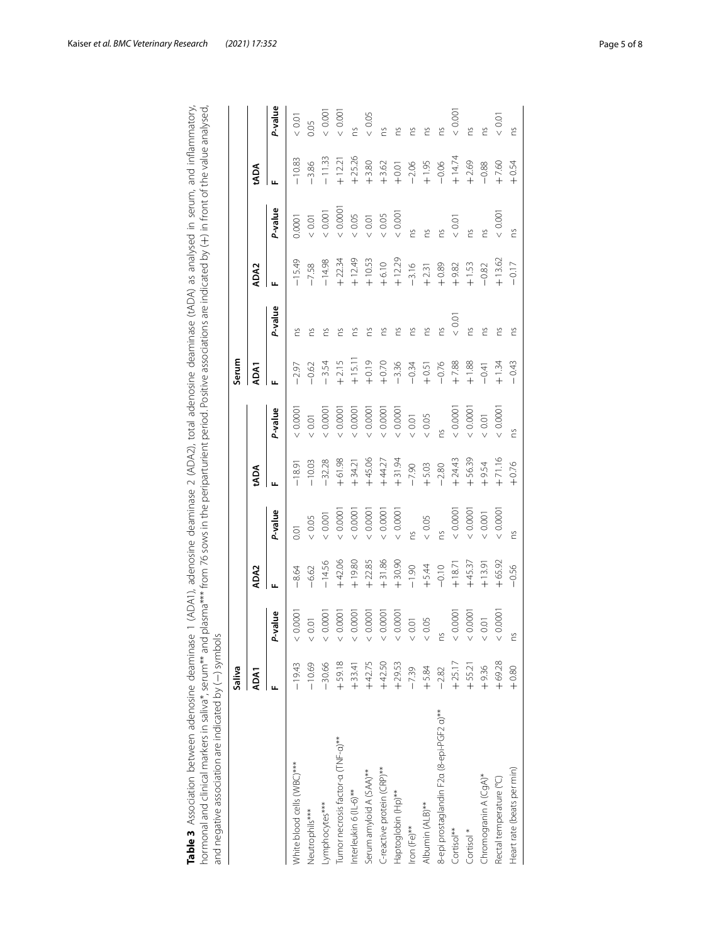<span id="page-4-0"></span>

| ase 1 (ADA1), adenosine deaminase 2 (ADA2), total adenosine deaminase (tADA) as analysed in serum, and inflammator<br>י<br>נ<br>ت<br>2<br>$5 - 2$<br>ã                                                         |  |
|----------------------------------------------------------------------------------------------------------------------------------------------------------------------------------------------------------------|--|
| nd plasma*** from 76 sows in the periparturient period. Positive associations are indicated by (+) in front of the value analysed<br>s<br>k<br>א ואי "<br>von Evville diplomation in Stations<br>$\frac{5}{2}$ |  |
| $\epsilon$<br>l<br>こころ ひりずりこうりこう りょう りょうこう<br>)<br>)<br>)<br>)<br>)<br>)<br><b>SSSSSSSSSSS</b><br>j                                                                                                            |  |

|                                          | Saliva   |          |                  |          |          |          | Serum   |         |          |         |          |         |
|------------------------------------------|----------|----------|------------------|----------|----------|----------|---------|---------|----------|---------|----------|---------|
|                                          | ADA1     |          | ADA <sub>2</sub> |          | tADA     |          | ADA1    |         | ADA2     |         | tADA     |         |
|                                          |          | P-value  | щ                | P-value  | щ        | P-value  |         | P-value |          | P-value | Щ        | P-value |
| White blood cells (WBC)***               | $-19.43$ | 0.0001   | $-8.64$          | 0.01     | $-18.91$ | < 0.0001 | $-2.97$ | č       | $-15.49$ | 0.0001  | $-10.83$ | $<0.01$ |
| Neutrophils***                           | $-10.69$ | < 0.01   | $-6.62$          | < 0.05   | $-10.03$ | 0.01     | $-0.62$ | č       | $-7.58$  | 0.01    | $-3.86$  | 0.05    |
| Lymphocytes***                           | $-30.66$ | 0.000    | $-14.56$         | 0.001    | $-32.28$ | < 0.000  | $-3.54$ | č       | $-14.98$ | 0.001   | $-11.33$ | 0.001   |
| Tumor necrosis factor-a (TNF-a)**        | $+59.18$ | 0.000    | $+42.06$         | < 0.0001 | $+61.98$ | 0.0001   | $+2.15$ | č       | $+22.34$ | 0.000   | $+12.21$ | 0.001   |
| Interleukin 6 (IL-6)**                   | $+33.41$ | 0.000    | $+19.80$         | 0.0001   | $+34.21$ | 0.0001   | $+15.1$ | č       | $+12.49$ | $<0.05$ | $+25.26$ | ns      |
| Serum amyloid A (SAA)**                  | $+42.75$ | < 0.000  | $+22.85$         | 0.000    | $+45.06$ | 0.000    | $+0.19$ | č       | $+10.53$ | $<0.01$ | $+3.80$  | $<0.05$ |
| C-reactive protein (CRP)**               | $+42.50$ | 0.0001   | $+31.86$         | 0.0001   | $+44.27$ | 0.0001   | $+0.70$ | č       | $+6.10$  | $<0.05$ | $+3.62$  | S       |
| Haptoglobin (Hp)**                       | $+29.53$ | < 0.0001 | $+30.90$         | 0.0001   | $+31.94$ | 0.0001   | $-3.36$ | č       | $+12.29$ | 0.001   | $+0.01$  | č       |
| Iron (Fe)**                              | $-7.39$  | $<0.01$  | $-1.90$          | ns       | $-7.90$  | $<0.01$  | $-0.34$ | č       | $-3.16$  | č       | $-2.06$  | č       |
| Albumin (ALB)**                          | $+5.84$  | $<0.05$  | $+5.44$          | $<0.05$  | $+5.03$  | $<0.05$  | $+0.51$ | č       | $+2.31$  | č       | $+1.95$  | č       |
| 8-epi prostaglandin F2a (8-epi-PGF2 a)** | $-2.82$  | ns       | $-0.10$          | ns       | $-2.80$  | ms       | $-0.76$ | ns      | $+0.89$  | 2U      | $-0.06$  | ns      |
| Cortisol <sup>**</sup>                   | $+25.17$ | 0.000    | $+18.71$         | 0.0001   | $+24.43$ | 0.0001   | $+7.88$ | 0.01    | $+9.82$  | 0.01    | $+14.74$ | 0.001   |
| Cortisol <sup>*</sup>                    | $+55.2$  | < 0.0001 | $+45.37$         | < 0.0001 | $+56.39$ | 0.0001   | $+1.88$ | č       | $+1.53$  | č       | $+2.69$  | ns      |
| Chromogranin A (CgA)*                    | $+9.36$  | $<0.01$  | $+13.91$         | $<0.001$ | $+9.54$  | $< 0.01$ | $-0.41$ | ns      | $-0.82$  | ns      | $-0.88$  | ns      |
| Rectal temperature (°C)                  | $+69.28$ | < 0.0001 | $+65.92$         | 0.0001   | $+71.16$ | 0.0001   | $+1.34$ | č       | $+13.62$ | 0.001   | $+7,60$  | 0.01    |
| Heart rate (beats per min)               | $+0.80$  | č        | $-0.56$          | Š        | $+0.76$  | ns       | $-0.43$ | č       | $-0.17$  | ns      | $+0.54$  | ns      |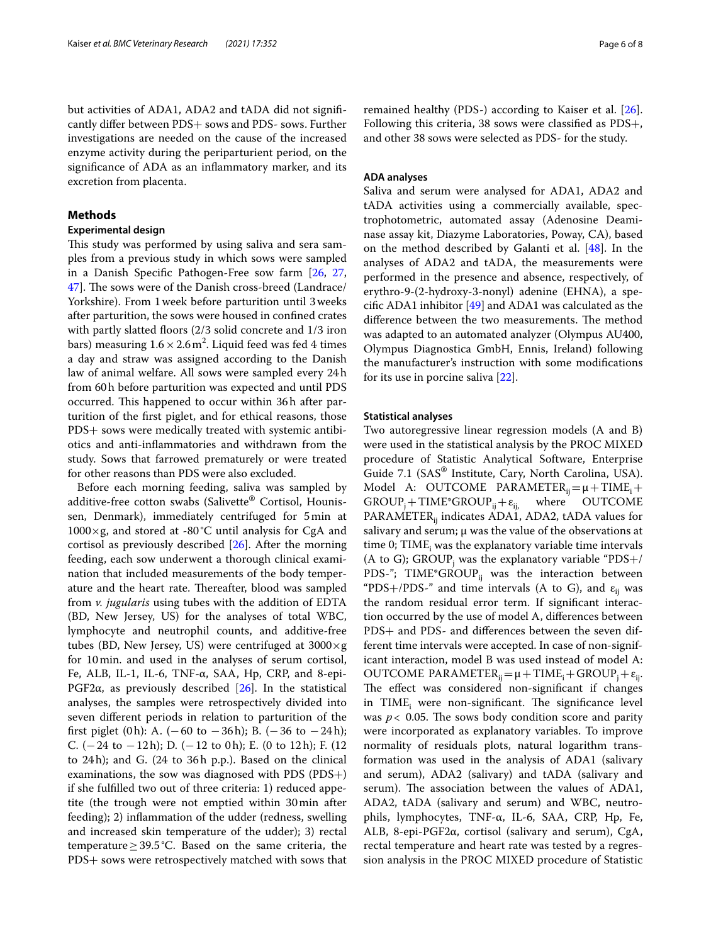but activities of ADA1, ADA2 and tADA did not signifcantly difer between PDS+ sows and PDS- sows. Further investigations are needed on the cause of the increased enzyme activity during the periparturient period, on the signifcance of ADA as an infammatory marker, and its excretion from placenta.

## **Methods**

## **Experimental design**

This study was performed by using saliva and sera samples from a previous study in which sows were sampled in a Danish Specifc Pathogen-Free sow farm [[26](#page-7-5), [27](#page-7-25), [47\]](#page-7-26). The sows were of the Danish cross-breed (Landrace/ Yorkshire). From 1week before parturition until 3weeks after parturition, the sows were housed in confned crates with partly slatted floors (2/3 solid concrete and 1/3 iron bars) measuring  $1.6 \times 2.6 \,\mathrm{m}^2$ . Liquid feed was fed 4 times a day and straw was assigned according to the Danish law of animal welfare. All sows were sampled every 24h from 60h before parturition was expected and until PDS occurred. This happened to occur within 36h after parturition of the frst piglet, and for ethical reasons, those PDS+ sows were medically treated with systemic antibiotics and anti-infammatories and withdrawn from the study. Sows that farrowed prematurely or were treated for other reasons than PDS were also excluded.

Before each morning feeding, saliva was sampled by additive-free cotton swabs (Salivette® Cortisol, Hounissen, Denmark), immediately centrifuged for 5min at  $1000\times g$ , and stored at -80 °C until analysis for CgA and cortisol as previously described [[26\]](#page-7-5). After the morning feeding, each sow underwent a thorough clinical examination that included measurements of the body temperature and the heart rate. Thereafter, blood was sampled from *v. jugularis* using tubes with the addition of EDTA (BD, New Jersey, US) for the analyses of total WBC, lymphocyte and neutrophil counts, and additive-free tubes (BD, New Jersey, US) were centrifuged at  $3000 \times g$ for 10min. and used in the analyses of serum cortisol, Fe, ALB, IL-1, IL-6, TNF-α, SAA, Hp, CRP, and 8-epi-PGF2 $\alpha$ , as previously described [\[26](#page-7-5)]. In the statistical analyses, the samples were retrospectively divided into seven diferent periods in relation to parturition of the first piglet (0h): A. ( $-60$  to  $-36$ h); B. ( $-36$  to  $-24$ h); C.  $(-24$  to  $-12h$ ); D.  $(-12$  to 0h); E. (0 to 12h); F. (12 to 24h); and G. (24 to 36h p.p.). Based on the clinical examinations, the sow was diagnosed with PDS (PDS+) if she fulflled two out of three criteria: 1) reduced appetite (the trough were not emptied within 30min after feeding); 2) infammation of the udder (redness, swelling and increased skin temperature of the udder); 3) rectal temperature  $\geq$  39.5°C. Based on the same criteria, the PDS+ sows were retrospectively matched with sows that remained healthy (PDS-) according to Kaiser et al. [\[26](#page-7-5)]. Following this criteria, 38 sows were classifed as PDS+, and other 38 sows were selected as PDS- for the study.

#### **ADA analyses**

Saliva and serum were analysed for ADA1, ADA2 and tADA activities using a commercially available, spectrophotometric, automated assay (Adenosine Deaminase assay kit, Diazyme Laboratories, Poway, CA), based on the method described by Galanti et al. [\[48](#page-7-27)]. In the analyses of ADA2 and tADA, the measurements were performed in the presence and absence, respectively, of erythro-9-(2-hydroxy-3-nonyl) adenine (EHNA), a specifc ADA1 inhibitor [\[49](#page-7-28)] and ADA1 was calculated as the difference between the two measurements. The method was adapted to an automated analyzer (Olympus AU400, Olympus Diagnostica GmbH, Ennis, Ireland) following the manufacturer's instruction with some modifcations for its use in porcine saliva [[22\]](#page-7-1).

#### **Statistical analyses**

Two autoregressive linear regression models (A and B) were used in the statistical analysis by the PROC MIXED procedure of Statistic Analytical Software, Enterprise Guide 7.1 (SAS® Institute, Cary, North Carolina, USA). Model A: OUTCOME PARAMETER<sub>ij</sub> =  $\mu$  + TIME<sub>i</sub> + GROUP<sub>i</sub> + TIME\* GROUP<sub>i</sub> +  $\varepsilon$ <sub>ii</sub> where OUTCOME  $GROUP_i + TIME^*GROUP_{ij} + \varepsilon_{ij}$ PARAMETER $_{ii}$  indicates ADA1, ADA2, tADA values for salivary and serum;  $\mu$  was the value of the observations at time 0; TIME<sub>i</sub> was the explanatory variable time intervals (A to G); GROUP<sub>j</sub> was the explanatory variable "PDS+/ PDS-"; TIME\*GROUP $_{ii}$  was the interaction between "PDS+/PDS-" and time intervals (A to G), and  $\varepsilon_{ii}$  was the random residual error term. If signifcant interaction occurred by the use of model A, diferences between PDS+ and PDS- and diferences between the seven different time intervals were accepted. In case of non-significant interaction, model B was used instead of model A: OUTCOME PARAMETER<sub>ij</sub> =  $\mu$  + TIME<sub>i</sub> + GROUP<sub>i</sub> +  $\varepsilon$ <sub>ij</sub>. The effect was considered non-significant if changes in TIME<sub>i</sub> were non-significant. The significance level was  $p < 0.05$ . The sows body condition score and parity were incorporated as explanatory variables. To improve normality of residuals plots, natural logarithm transformation was used in the analysis of ADA1 (salivary and serum), ADA2 (salivary) and tADA (salivary and serum). The association between the values of ADA1, ADA2, tADA (salivary and serum) and WBC, neutrophils, lymphocytes, TNF-α, IL-6, SAA, CRP, Hp, Fe, ALB, 8-epi-PGF2α, cortisol (salivary and serum), CgA, rectal temperature and heart rate was tested by a regression analysis in the PROC MIXED procedure of Statistic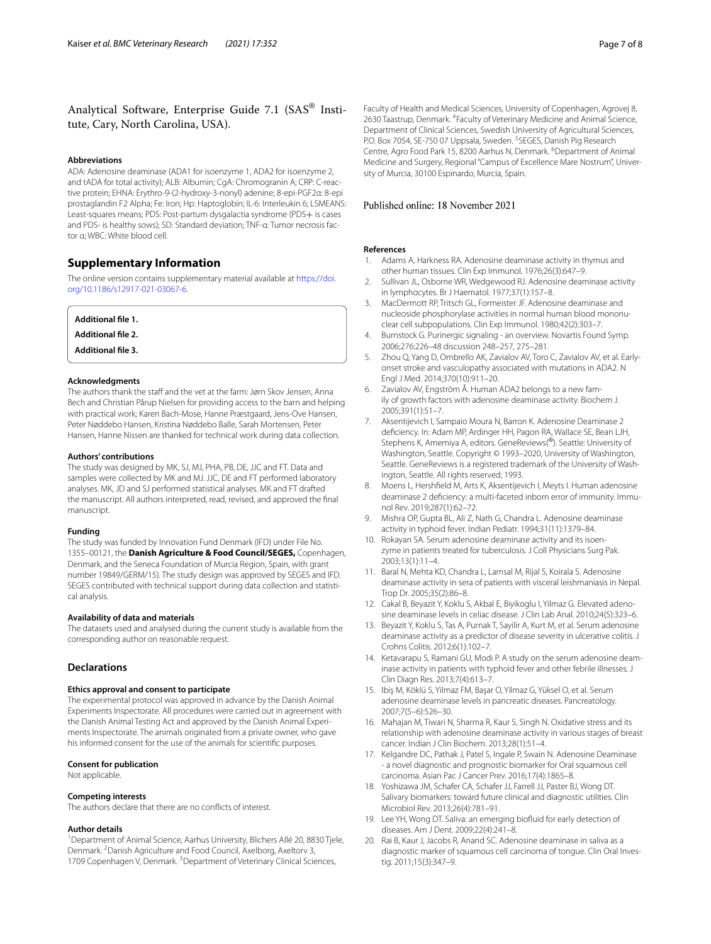# Analytical Software, Enterprise Guide 7.1 (SAS® Institute, Cary, North Carolina, USA).

#### **Abbreviations**

ADA: Adenosine deaminase (ADA1 for isoenzyme 1, ADA2 for isoenzyme 2, and tADA for total activity); ALB: Albumin; CgA: Chromogranin A; CRP: C-reactive protein; EHNA: Erythro-9-(2-hydroxy-3-nonyl) adenine; 8-epi-PGF2α: 8-epi prostaglandin F2 Alpha; Fe: Iron; Hp: Haptoglobin; IL-6: Interleukin 6; LSMEANS: Least-squares means; PDS: Post-partum dysgalactia syndrome (PDS+ is cases and PDS- is healthy sows); SD: Standard deviation; TNF-α: Tumor necrosis factor α; WBC: White blood cell.

## **Supplementary Information**

The online version contains supplementary material available at [https://doi.](https://doi.org/10.1186/s12917-021-03067-6) [org/10.1186/s12917-021-03067-6](https://doi.org/10.1186/s12917-021-03067-6).

| Additional file 1.        |  |  |
|---------------------------|--|--|
| Additional file 2.        |  |  |
| <b>Additional file 3.</b> |  |  |

#### **Acknowledgments**

The authors thank the staff and the vet at the farm: Jørn Skov Jensen, Anna Bech and Christian Pårup Nielsen for providing access to the barn and helping with practical work; Karen Bach-Mose, Hanne Præstgaard, Jens-Ove Hansen, Peter Nøddebo Hansen, Kristina Nøddebo Balle, Sarah Mortensen, Peter Hansen, Hanne Nissen are thanked for technical work during data collection.

#### **Authors' contributions**

The study was designed by MK, SJ, MJ, PHA, PB, DE, JJC and FT. Data and samples were collected by MK and MJ. JJC, DE and FT performed laboratory analyses. MK, JD and SJ performed statistical analyses. MK and FT drafted the manuscript. All authors interpreted, read, revised, and approved the fnal manuscript.

#### **Funding**

The study was funded by Innovation Fund Denmark (IFD) under File No. 1355–00121, the **Danish Agriculture & Food Council/SEGES,** Copenhagen, Denmark, and the Seneca Foundation of Murcia Region, Spain, with grant number 19849/GERM/15). The study design was approved by SEGES and IFD. SEGES contributed with technical support during data collection and statistical analysis.

## **Availability of data and materials**

The datasets used and analysed during the current study is available from the corresponding author on reasonable request.

## **Declarations**

## **Ethics approval and consent to participate**

The experimental protocol was approved in advance by the Danish Animal Experiments Inspectorate. All procedures were carried out in agreement with the Danish Animal Testing Act and approved by the Danish Animal Experiments Inspectorate. The animals originated from a private owner, who gave his informed consent for the use of the animals for scientifc purposes.

#### **Consent for publication**

Not applicable.

#### **Competing interests**

The authors declare that there are no conficts of interest.

#### **Author details**

<sup>1</sup> Department of Animal Science, Aarhus University, Blichers Allé 20, 8830 Tjele, Denmark. <sup>2</sup> Danish Agriculture and Food Council, Axelborg, Axeltorv 3, 1709 Copenhagen V, Denmark. <sup>3</sup> Department of Veterinary Clinical Sciences,

#### Published online: 18 November 2021

#### **References**

- <span id="page-6-0"></span>1. Adams A, Harkness RA. Adenosine deaminase activity in thymus and other human tissues. Clin Exp Immunol. 1976;26(3):647–9.
- <span id="page-6-1"></span>2. Sullivan JL, Osborne WR, Wedgewood RJ. Adenosine deaminase activity in lymphocytes. Br J Haematol. 1977;37(1):157–8.
- <span id="page-6-2"></span>3. MacDermott RP, Tritsch GL, Formeister JF. Adenosine deaminase and nucleoside phosphorylase activities in normal human blood mononuclear cell subpopulations. Clin Exp Immunol. 1980;42(2):303–7.
- <span id="page-6-3"></span>4. Burnstock G. Purinergic signaling - an overview. Novartis Found Symp. 2006;276:226–48 discussion 248–257, 275–281.
- <span id="page-6-4"></span>5. Zhou Q, Yang D, Ombrello AK, Zavialov AV, Toro C, Zavialov AV, et al. Earlyonset stroke and vasculopathy associated with mutations in ADA2. N Engl J Med. 2014;370(10):911–20.
- <span id="page-6-5"></span>Zavialov AV, Engström Å. Human ADA2 belongs to a new family of growth factors with adenosine deaminase activity. Biochem J. 2005;391(1):51–7.
- <span id="page-6-6"></span>7. Aksentijevich I, Sampaio Moura N, Barron K. Adenosine Deaminase 2 defciency. In: Adam MP, Ardinger HH, Pagon RA, Wallace SE, Bean LJH, Stephens K, Amemiya A, editors. GeneReviews(®). Seattle: University of Washington, Seattle. Copyright © 1993–2020, University of Washington, Seattle. GeneReviews is a registered trademark of the University of Washington, Seattle. All rights reserved; 1993.
- <span id="page-6-7"></span>8. Moens L, Hershfeld M, Arts K, Aksentijevich I, Meyts I. Human adenosine deaminase 2 defciency: a multi-faceted inborn error of immunity. Immunol Rev. 2019;287(1):62–72.
- <span id="page-6-8"></span>9. Mishra OP, Gupta BL, Ali Z, Nath G, Chandra L. Adenosine deaminase activity in typhoid fever. Indian Pediatr. 1994;31(11):1379–84.
- <span id="page-6-9"></span>10. Rokayan SA. Serum adenosine deaminase activity and its isoenzyme in patients treated for tuberculosis. J Coll Physicians Surg Pak. 2003;13(1):11–4.
- <span id="page-6-10"></span>11. Baral N, Mehta KD, Chandra L, Lamsal M, Rijal S, Koirala S. Adenosine deaminase activity in sera of patients with visceral leishmaniasis in Nepal. Trop Dr. 2005;35(2):86–8.
- <span id="page-6-11"></span>12. Cakal B, Beyazit Y, Koklu S, Akbal E, Biyikoglu I, Yilmaz G. Elevated adenosine deaminase levels in celiac disease. J Clin Lab Anal. 2010;24(5):323–6.
- <span id="page-6-12"></span>13. Beyazit Y, Koklu S, Tas A, Purnak T, Sayilir A, Kurt M, et al. Serum adenosine deaminase activity as a predictor of disease severity in ulcerative colitis. J Crohns Colitis. 2012;6(1):102–7.
- <span id="page-6-13"></span>14. Ketavarapu S, Ramani GU, Modi P. A study on the serum adenosine deaminase activity in patients with typhoid fever and other febrile illnesses. J Clin Diagn Res. 2013;7(4):613–7.
- <span id="page-6-14"></span>15. Ibiş M, Köklü S, Yilmaz FM, Başar O, Yilmaz G, Yüksel O, et al. Serum adenosine deaminase levels in pancreatic diseases. Pancreatology. 2007;7(5–6):526–30.
- 16. Mahajan M, Tiwari N, Sharma R, Kaur S, Singh N. Oxidative stress and its relationship with adenosine deaminase activity in various stages of breast cancer. Indian J Clin Biochem. 2013;28(1):51–4.
- <span id="page-6-15"></span>17. Kelgandre DC, Pathak J, Patel S, Ingale P, Swain N. Adenosine Deaminase - a novel diagnostic and prognostic biomarker for Oral squamous cell carcinoma. Asian Pac J Cancer Prev. 2016;17(4):1865–8.
- <span id="page-6-16"></span>18. Yoshizawa JM, Schafer CA, Schafer JJ, Farrell JJ, Paster BJ, Wong DT. Salivary biomarkers: toward future clinical and diagnostic utilities. Clin Microbiol Rev. 2013;26(4):781–91.
- <span id="page-6-17"></span>19. Lee YH, Wong DT. Saliva: an emerging biofuid for early detection of diseases. Am J Dent. 2009;22(4):241–8.
- <span id="page-6-18"></span>20. Rai B, Kaur J, Jacobs R, Anand SC. Adenosine deaminase in saliva as a diagnostic marker of squamous cell carcinoma of tongue. Clin Oral Investig. 2011;15(3):347–9.